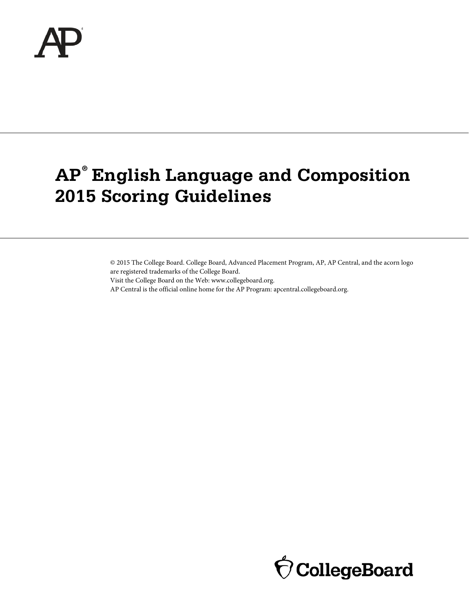

# **AP® English Language and Composition 2015 Scoring Guidelines**

© 2015 The College Board. College Board, Advanced Placement Program, AP, AP Central, and the acorn logo are registered trademarks of the College Board.

Visit the College Board on the Web: www.collegeboard.org.

AP Central is the official online home for the AP Program: apcentral.collegeboard.org.

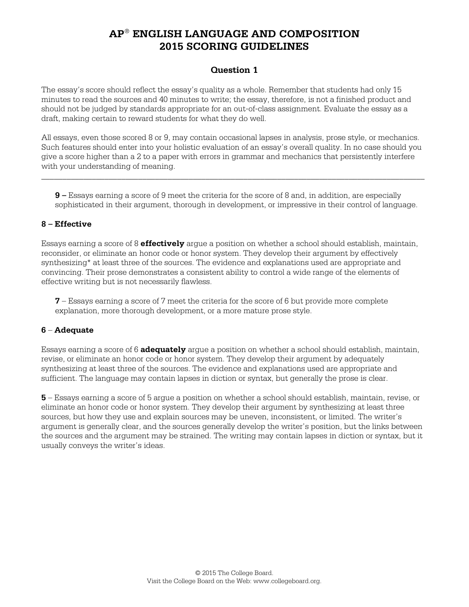## **Question 1**

The essay's score should reflect the essay's quality as a whole. Remember that students had only 15 minutes to read the sources and 40 minutes to write; the essay, therefore, is not a finished product and should not be judged by standards appropriate for an out-of-class assignment. Evaluate the essay as a draft, making certain to reward students for what they do well.

All essays, even those scored 8 or 9, may contain occasional lapses in analysis, prose style, or mechanics. Such features should enter into your holistic evaluation of an essay's overall quality. In no case should you give a score higher than a 2 to a paper with errors in grammar and mechanics that persistently interfere with your understanding of meaning.

\_\_\_\_\_\_\_\_\_\_\_\_\_\_\_\_\_\_\_\_\_\_\_\_\_\_\_\_\_\_\_\_\_\_\_\_\_\_\_\_\_\_\_\_\_\_\_\_\_\_\_\_\_\_\_\_\_\_\_\_\_\_\_\_\_\_\_\_\_\_\_\_\_\_\_\_\_\_\_\_\_\_\_\_\_\_\_\_\_\_\_

**9 –** Essays earning a score of 9 meet the criteria for the score of 8 and, in addition, are especially sophisticated in their argument, thorough in development, or impressive in their control of language.

#### **8 – Effective**

Essays earning a score of 8 **effectively** argue a position on whether a school should establish, maintain, reconsider, or eliminate an honor code or honor system. They develop their argument by effectively synthesizing\* at least three of the sources. The evidence and explanations used are appropriate and convincing. Their prose demonstrates a consistent ability to control a wide range of the elements of effective writing but is not necessarily flawless.

**7** – Essays earning a score of 7 meet the criteria for the score of 6 but provide more complete explanation, more thorough development, or a more mature prose style.

#### **6** – **Adequate**

Essays earning a score of 6 **adequately** argue a position on whether a school should establish, maintain, revise, or eliminate an honor code or honor system. They develop their argument by adequately synthesizing at least three of the sources. The evidence and explanations used are appropriate and sufficient. The language may contain lapses in diction or syntax, but generally the prose is clear.

**5** – Essays earning a score of 5 argue a position on whether a school should establish, maintain, revise, or eliminate an honor code or honor system. They develop their argument by synthesizing at least three sources, but how they use and explain sources may be uneven, inconsistent, or limited. The writer's argument is generally clear, and the sources generally develop the writer's position, but the links between the sources and the argument may be strained. The writing may contain lapses in diction or syntax, but it usually conveys the writer's ideas.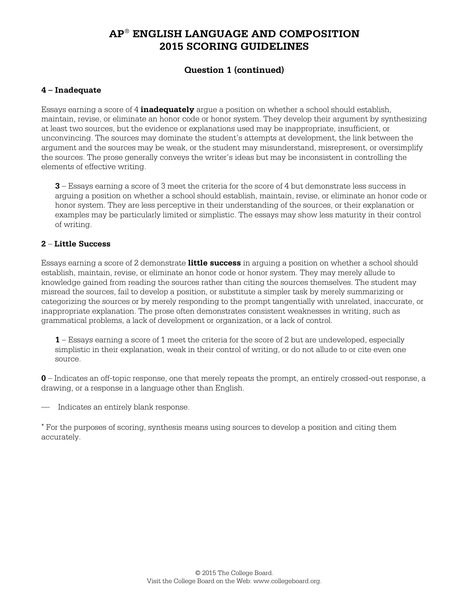## **Question 1 (continued)**

#### **4 – Inadequate**

Essays earning a score of 4 **inadequately** argue a position on whether a school should establish, maintain, revise, or eliminate an honor code or honor system. They develop their argument by synthesizing at least two sources, but the evidence or explanations used may be inappropriate, insufficient, or unconvincing. The sources may dominate the student's attempts at development, the link between the argument and the sources may be weak, or the student may misunderstand, misrepresent, or oversimplify the sources. The prose generally conveys the writer's ideas but may be inconsistent in controlling the elements of effective writing.

**3** – Essays earning a score of 3 meet the criteria for the score of 4 but demonstrate less success in arguing a position on whether a school should establish, maintain, revise, or eliminate an honor code or honor system. They are less perceptive in their understanding of the sources, or their explanation or examples may be particularly limited or simplistic. The essays may show less maturity in their control of writing.

#### **2** – **Little Success**

Essays earning a score of 2 demonstrate **little success** in arguing a position on whether a school should establish, maintain, revise, or eliminate an honor code or honor system. They may merely allude to knowledge gained from reading the sources rather than citing the sources themselves. The student may misread the sources, fail to develop a position, or substitute a simpler task by merely summarizing or categorizing the sources or by merely responding to the prompt tangentially with unrelated, inaccurate, or inappropriate explanation. The prose often demonstrates consistent weaknesses in writing, such as grammatical problems, a lack of development or organization, or a lack of control.

**1** – Essays earning a score of 1 meet the criteria for the score of 2 but are undeveloped, especially simplistic in their explanation, weak in their control of writing, or do not allude to or cite even one source.

**0** – Indicates an off-topic response, one that merely repeats the prompt, an entirely crossed-out response, a drawing, or a response in a language other than English.

— Indicates an entirely blank response.

<sup>∗</sup> For the purposes of scoring, synthesis means using sources to develop a position and citing them accurately.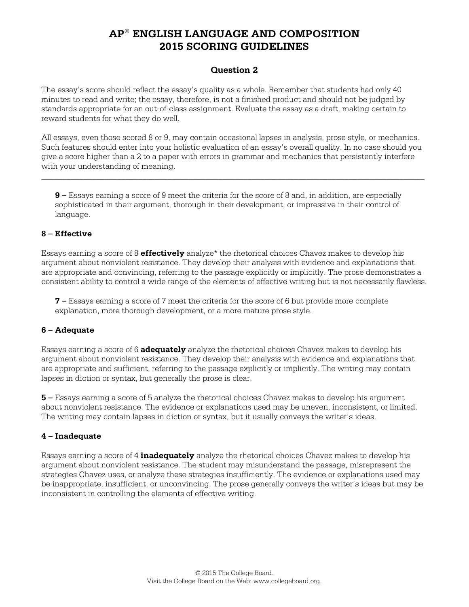## **Question 2**

The essay's score should reflect the essay's quality as a whole. Remember that students had only 40 minutes to read and write; the essay, therefore, is not a finished product and should not be judged by standards appropriate for an out-of-class assignment. Evaluate the essay as a draft, making certain to reward students for what they do well.

All essays, even those scored 8 or 9, may contain occasional lapses in analysis, prose style, or mechanics. Such features should enter into your holistic evaluation of an essay's overall quality. In no case should you give a score higher than a 2 to a paper with errors in grammar and mechanics that persistently interfere with your understanding of meaning.

\_\_\_\_\_\_\_\_\_\_\_\_\_\_\_\_\_\_\_\_\_\_\_\_\_\_\_\_\_\_\_\_\_\_\_\_\_\_\_\_\_\_\_\_\_\_\_\_\_\_\_\_\_\_\_\_\_\_\_\_\_\_\_\_\_\_\_\_\_\_\_\_\_\_\_\_\_\_\_\_\_\_\_\_\_\_\_\_\_\_\_

**9 –** Essays earning a score of 9 meet the criteria for the score of 8 and, in addition, are especially sophisticated in their argument, thorough in their development, or impressive in their control of language.

#### **8 – Effective**

Essays earning a score of 8 **effectively** analyze\* the rhetorical choices Chavez makes to develop his argument about nonviolent resistance. They develop their analysis with evidence and explanations that are appropriate and convincing, referring to the passage explicitly or implicitly. The prose demonstrates a consistent ability to control a wide range of the elements of effective writing but is not necessarily flawless.

**7 –** Essays earning a score of 7 meet the criteria for the score of 6 but provide more complete explanation, more thorough development, or a more mature prose style.

#### **6 – Adequate**

Essays earning a score of 6 **adequately** analyze the rhetorical choices Chavez makes to develop his argument about nonviolent resistance. They develop their analysis with evidence and explanations that are appropriate and sufficient, referring to the passage explicitly or implicitly. The writing may contain lapses in diction or syntax, but generally the prose is clear.

**5 –** Essays earning a score of 5 analyze the rhetorical choices Chavez makes to develop his argument about nonviolent resistance. The evidence or explanations used may be uneven, inconsistent, or limited. The writing may contain lapses in diction or syntax, but it usually conveys the writer's ideas.

#### **4 – Inadequate**

Essays earning a score of 4 **inadequately** analyze the rhetorical choices Chavez makes to develop his argument about nonviolent resistance. The student may misunderstand the passage, misrepresent the strategies Chavez uses, or analyze these strategies insufficiently. The evidence or explanations used may be inappropriate, insufficient, or unconvincing. The prose generally conveys the writer's ideas but may be inconsistent in controlling the elements of effective writing.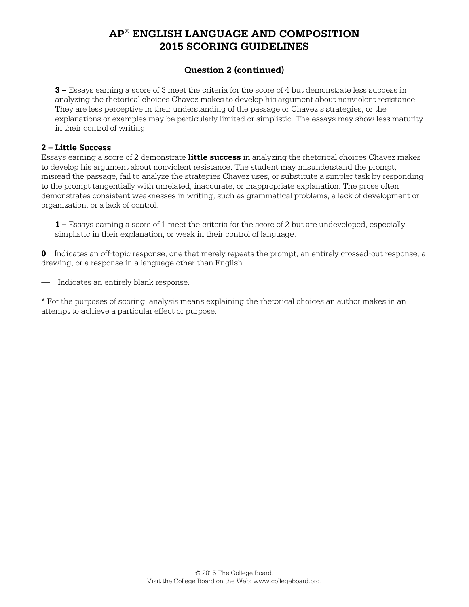# **Question 2 (continued)**

**3 –** Essays earning a score of 3 meet the criteria for the score of 4 but demonstrate less success in analyzing the rhetorical choices Chavez makes to develop his argument about nonviolent resistance. They are less perceptive in their understanding of the passage or Chavez's strategies, or the explanations or examples may be particularly limited or simplistic. The essays may show less maturity in their control of writing.

#### **2 – Little Success**

Essays earning a score of 2 demonstrate **little success** in analyzing the rhetorical choices Chavez makes to develop his argument about nonviolent resistance. The student may misunderstand the prompt, misread the passage, fail to analyze the strategies Chavez uses, or substitute a simpler task by responding to the prompt tangentially with unrelated, inaccurate, or inappropriate explanation. The prose often demonstrates consistent weaknesses in writing, such as grammatical problems, a lack of development or organization, or a lack of control.

**1 –** Essays earning a score of 1 meet the criteria for the score of 2 but are undeveloped, especially simplistic in their explanation, or weak in their control of language.

**0** – Indicates an off-topic response, one that merely repeats the prompt, an entirely crossed-out response, a drawing, or a response in a language other than English.

— Indicates an entirely blank response.

\* For the purposes of scoring, analysis means explaining the rhetorical choices an author makes in an attempt to achieve a particular effect or purpose.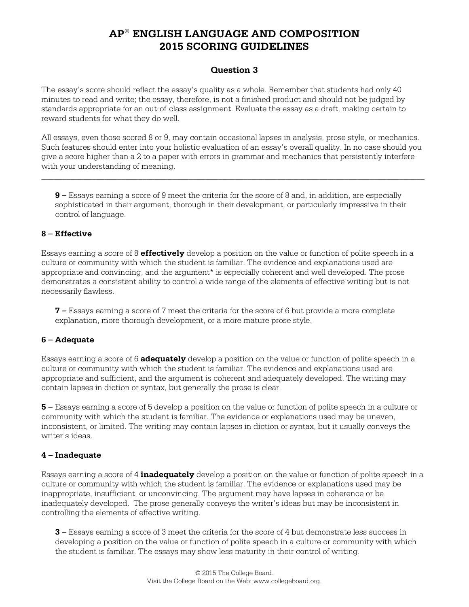## **Question 3**

The essay's score should reflect the essay's quality as a whole. Remember that students had only 40 minutes to read and write; the essay, therefore, is not a finished product and should not be judged by standards appropriate for an out-of-class assignment. Evaluate the essay as a draft, making certain to reward students for what they do well.

All essays, even those scored 8 or 9, may contain occasional lapses in analysis, prose style, or mechanics. Such features should enter into your holistic evaluation of an essay's overall quality. In no case should you give a score higher than a 2 to a paper with errors in grammar and mechanics that persistently interfere with your understanding of meaning.

\_\_\_\_\_\_\_\_\_\_\_\_\_\_\_\_\_\_\_\_\_\_\_\_\_\_\_\_\_\_\_\_\_\_\_\_\_\_\_\_\_\_\_\_\_\_\_\_\_\_\_\_\_\_\_\_\_\_\_\_\_\_\_\_\_\_\_\_\_\_\_\_\_\_\_\_\_\_\_\_\_\_\_\_\_\_\_\_\_\_\_

**9 –** Essays earning a score of 9 meet the criteria for the score of 8 and, in addition, are especially sophisticated in their argument, thorough in their development, or particularly impressive in their control of language.

#### **8 – Effective**

Essays earning a score of 8 **effectively** develop a position on the value or function of polite speech in a culture or community with which the student is familiar. The evidence and explanations used are appropriate and convincing, and the argument\* is especially coherent and well developed. The prose demonstrates a consistent ability to control a wide range of the elements of effective writing but is not necessarily flawless.

**7 –** Essays earning a score of 7 meet the criteria for the score of 6 but provide a more complete explanation, more thorough development, or a more mature prose style.

## **6 – Adequate**

Essays earning a score of 6 **adequately** develop a position on the value or function of polite speech in a culture or community with which the student is familiar. The evidence and explanations used are appropriate and sufficient, and the argument is coherent and adequately developed. The writing may contain lapses in diction or syntax, but generally the prose is clear.

**5 –** Essays earning a score of 5 develop a position on the value or function of polite speech in a culture or community with which the student is familiar. The evidence or explanations used may be uneven, inconsistent, or limited. The writing may contain lapses in diction or syntax, but it usually conveys the writer's ideas.

## **4 – Inadequate**

Essays earning a score of 4 **inadequately** develop a position on the value or function of polite speech in a culture or community with which the student is familiar. The evidence or explanations used may be inappropriate, insufficient, or unconvincing. The argument may have lapses in coherence or be inadequately developed. The prose generally conveys the writer's ideas but may be inconsistent in controlling the elements of effective writing.

**3 –** Essays earning a score of 3 meet the criteria for the score of 4 but demonstrate less success in developing a position on the value or function of polite speech in a culture or community with which the student is familiar. The essays may show less maturity in their control of writing.